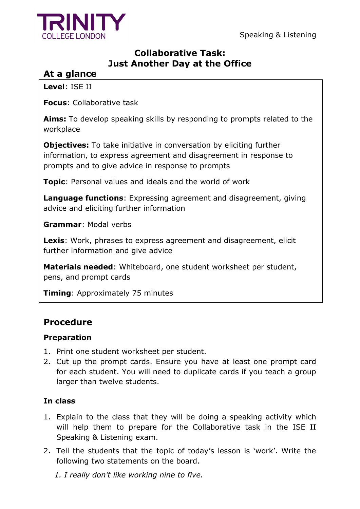Speaking & Listening



## **Collaborative Task: Just Another Day at the Office**

# **At a glance**

**Level**: ISE II

**Focus**: Collaborative task

**Aims:** To develop speaking skills by responding to prompts related to the workplace

**Objectives:** To take initiative in conversation by eliciting further information, to express agreement and disagreement in response to prompts and to give advice in response to prompts

**Topic**: Personal values and ideals and the world of work

**Language functions:** Expressing agreement and disagreement, giving advice and eliciting further information

**Grammar**: Modal verbs

**Lexis**: Work, phrases to express agreement and disagreement, elicit further information and give advice

**Materials needed**: Whiteboard, one student worksheet per student, pens, and prompt cards

**Timing**: Approximately 75 minutes

# **Procedure**

### **Preparation**

- 1. Print one student worksheet per student.
- 2. Cut up the prompt cards. Ensure you have at least one prompt card for each student. You will need to duplicate cards if you teach a group larger than twelve students.

### **In class**

- 1. Explain to the class that they will be doing a speaking activity which will help them to prepare for the Collaborative task in the ISE II Speaking & Listening exam.
- 2. Tell the students that the topic of today's lesson is 'work'. Write the following two statements on the board.

*1. I really don't like working nine to five.*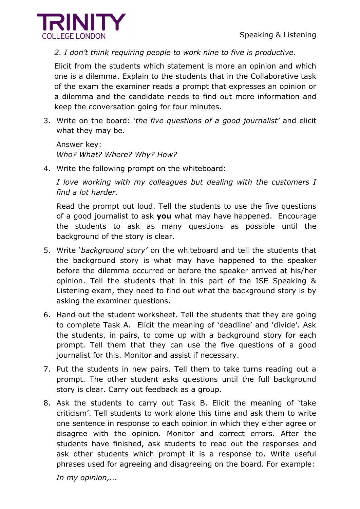

*2. I don't think requiring people to work nine to five is productive.*

Elicit from the students which statement is more an opinion and which one is a dilemma. Explain to the students that in the Collaborative task of the exam the examiner reads a prompt that expresses an opinion or a dilemma and the candidate needs to find out more information and keep the conversation going for four minutes.

3. Write on the board: '*the five questions of a good journalist'* and elicit what they may be.

Answer key: *Who? What? Where? Why? How?*

4. Write the following prompt on the whiteboard:

*I love working with my colleagues but dealing with the customers I find a lot harder.* 

Read the prompt out loud. Tell the students to use the five questions of a good journalist to ask **you** what may have happened. Encourage the students to ask as many questions as possible until the background of the story is clear.

- 5. Write '*background story'* on the whiteboard and tell the students that the background story is what may have happened to the speaker before the dilemma occurred or before the speaker arrived at his/her opinion. Tell the students that in this part of the ISE Speaking & Listening exam, they need to find out what the background story is by asking the examiner questions.
- 6. Hand out the student worksheet. Tell the students that they are going to complete Task A. Elicit the meaning of 'deadline' and 'divide'. Ask the students, in pairs, to come up with a background story for each prompt. Tell them that they can use the five questions of a good journalist for this. Monitor and assist if necessary.
- 7. Put the students in new pairs. Tell them to take turns reading out a prompt. The other student asks questions until the full background story is clear. Carry out feedback as a group.
- 8. Ask the students to carry out Task B. Elicit the meaning of 'take criticism'. Tell students to work alone this time and ask them to write one sentence in response to each opinion in which they either agree or disagree with the opinion. Monitor and correct errors. After the students have finished, ask students to read out the responses and ask other students which prompt it is a response to. Write useful phrases used for agreeing and disagreeing on the board. For example:

*In my opinion,...*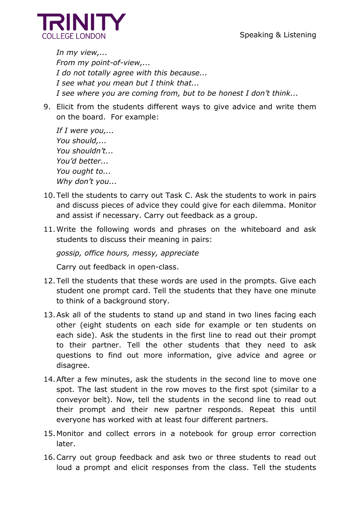

*In my view,... From my point-of-view,... I do not totally agree with this because... I see what you mean but I think that... I see where you are coming from, but to be honest I don't think...*

9. Elicit from the students different ways to give advice and write them on the board. For example:

```
If I were you,... 
You should,...
You shouldn't...
You'd better...
You ought to... 
Why don't you...
```
- 10.Tell the students to carry out Task C. Ask the students to work in pairs and discuss pieces of advice they could give for each dilemma. Monitor and assist if necessary. Carry out feedback as a group.
- 11.Write the following words and phrases on the whiteboard and ask students to discuss their meaning in pairs:

*gossip, office hours, messy, appreciate*

Carry out feedback in open-class.

- 12.Tell the students that these words are used in the prompts. Give each student one prompt card. Tell the students that they have one minute to think of a background story.
- 13.Ask all of the students to stand up and stand in two lines facing each other (eight students on each side for example or ten students on each side). Ask the students in the first line to read out their prompt to their partner. Tell the other students that they need to ask questions to find out more information, give advice and agree or disagree.
- 14.After a few minutes, ask the students in the second line to move one spot. The last student in the row moves to the first spot (similar to a conveyor belt). Now, tell the students in the second line to read out their prompt and their new partner responds. Repeat this until everyone has worked with at least four different partners.
- 15.Monitor and collect errors in a notebook for group error correction later.
- 16.Carry out group feedback and ask two or three students to read out loud a prompt and elicit responses from the class. Tell the students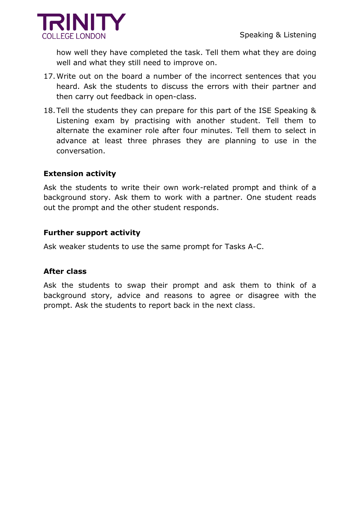



how well they have completed the task. Tell them what they are doing well and what they still need to improve on.

- 17.Write out on the board a number of the incorrect sentences that you heard. Ask the students to discuss the errors with their partner and then carry out feedback in open-class.
- 18.Tell the students they can prepare for this part of the ISE Speaking & Listening exam by practising with another student. Tell them to alternate the examiner role after four minutes. Tell them to select in advance at least three phrases they are planning to use in the conversation.

### **Extension activity**

Ask the students to write their own work-related prompt and think of a background story. Ask them to work with a partner. One student reads out the prompt and the other student responds.

#### **Further support activity**

Ask weaker students to use the same prompt for Tasks A-C.

#### **After class**

Ask the students to swap their prompt and ask them to think of a background story, advice and reasons to agree or disagree with the prompt. Ask the students to report back in the next class.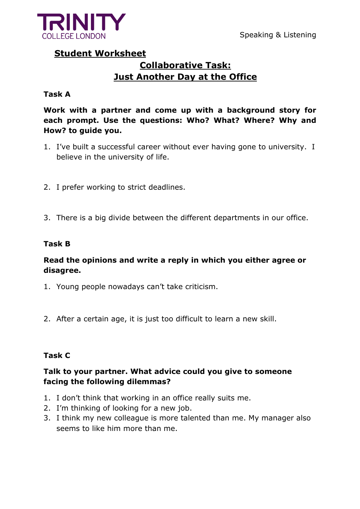

### **Student Worksheet**

# **Collaborative Task: Just Another Day at the Office**

### **Task A**

**Work with a partner and come up with a background story for each prompt. Use the questions: Who? What? Where? Why and How? to guide you.** 

- 1. I've built a successful career without ever having gone to university. I believe in the university of life.
- 2. I prefer working to strict deadlines.
- 3. There is a big divide between the different departments in our office.

### **Task B**

### **Read the opinions and write a reply in which you either agree or disagree.**

- 1. Young people nowadays can't take criticism.
- 2. After a certain age, it is just too difficult to learn a new skill.

### **Task C**

### **Talk to your partner. What advice could you give to someone facing the following dilemmas?**

- 1. I don't think that working in an office really suits me.
- 2. I'm thinking of looking for a new job.
- 3. I think my new colleague is more talented than me. My manager also seems to like him more than me.